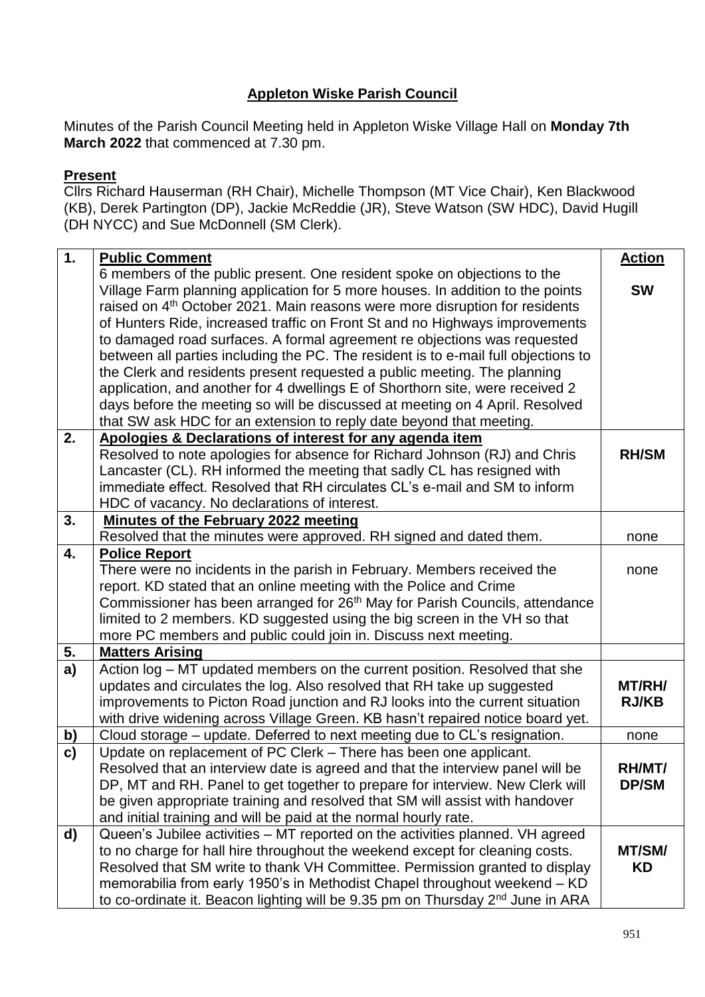## **Appleton Wiske Parish Council**

Minutes of the Parish Council Meeting held in Appleton Wiske Village Hall on **Monday 7th March 2022** that commenced at 7.30 pm.

## **Present**

Cllrs Richard Hauserman (RH Chair), Michelle Thompson (MT Vice Chair), Ken Blackwood (KB), Derek Partington (DP), Jackie McReddie (JR), Steve Watson (SW HDC), David Hugill (DH NYCC) and Sue McDonnell (SM Clerk).

| 1. | <b>Public Comment</b>                                                                                                                                                     | <b>Action</b>       |
|----|---------------------------------------------------------------------------------------------------------------------------------------------------------------------------|---------------------|
|    | 6 members of the public present. One resident spoke on objections to the                                                                                                  |                     |
|    | Village Farm planning application for 5 more houses. In addition to the points<br>raised on 4 <sup>th</sup> October 2021. Main reasons were more disruption for residents | <b>SW</b>           |
|    | of Hunters Ride, increased traffic on Front St and no Highways improvements                                                                                               |                     |
|    | to damaged road surfaces. A formal agreement re objections was requested                                                                                                  |                     |
|    | between all parties including the PC. The resident is to e-mail full objections to                                                                                        |                     |
|    | the Clerk and residents present requested a public meeting. The planning                                                                                                  |                     |
|    | application, and another for 4 dwellings E of Shorthorn site, were received 2                                                                                             |                     |
|    | days before the meeting so will be discussed at meeting on 4 April. Resolved                                                                                              |                     |
|    | that SW ask HDC for an extension to reply date beyond that meeting.                                                                                                       |                     |
| 2. | Apologies & Declarations of interest for any agenda item                                                                                                                  |                     |
|    | Resolved to note apologies for absence for Richard Johnson (RJ) and Chris                                                                                                 | <b>RH/SM</b>        |
|    | Lancaster (CL). RH informed the meeting that sadly CL has resigned with                                                                                                   |                     |
|    | immediate effect. Resolved that RH circulates CL's e-mail and SM to inform                                                                                                |                     |
|    | HDC of vacancy. No declarations of interest.                                                                                                                              |                     |
| 3. | Minutes of the February 2022 meeting                                                                                                                                      |                     |
|    | Resolved that the minutes were approved. RH signed and dated them.                                                                                                        | none                |
| 4. | <b>Police Report</b><br>There were no incidents in the parish in February. Members received the                                                                           |                     |
|    | report. KD stated that an online meeting with the Police and Crime                                                                                                        | none                |
|    | Commissioner has been arranged for 26 <sup>th</sup> May for Parish Councils, attendance                                                                                   |                     |
|    | limited to 2 members. KD suggested using the big screen in the VH so that                                                                                                 |                     |
|    | more PC members and public could join in. Discuss next meeting.                                                                                                           |                     |
| 5. | <b>Matters Arising</b>                                                                                                                                                    |                     |
| a) | Action log - MT updated members on the current position. Resolved that she                                                                                                |                     |
|    | updates and circulates the log. Also resolved that RH take up suggested                                                                                                   | MT/RH/              |
|    | improvements to Picton Road junction and RJ looks into the current situation                                                                                              | <b>RJ/KB</b>        |
|    | with drive widening across Village Green. KB hasn't repaired notice board yet.                                                                                            |                     |
| b) | Cloud storage – update. Deferred to next meeting due to CL's resignation.                                                                                                 | none                |
| c) | Update on replacement of PC Clerk - There has been one applicant.                                                                                                         |                     |
|    | Resolved that an interview date is agreed and that the interview panel will be                                                                                            | RH/MT/              |
|    | DP, MT and RH. Panel to get together to prepare for interview. New Clerk will                                                                                             | <b>DP/SM</b>        |
|    | be given appropriate training and resolved that SM will assist with handover                                                                                              |                     |
|    | and initial training and will be paid at the normal hourly rate.                                                                                                          |                     |
| d) | Queen's Jubilee activities – MT reported on the activities planned. VH agreed                                                                                             |                     |
|    | to no charge for hall hire throughout the weekend except for cleaning costs.<br>Resolved that SM write to thank VH Committee. Permission granted to display               | MT/SM/<br><b>KD</b> |
|    | memorabilia from early 1950's in Methodist Chapel throughout weekend - KD                                                                                                 |                     |
|    | to co-ordinate it. Beacon lighting will be 9.35 pm on Thursday 2 <sup>nd</sup> June in ARA                                                                                |                     |
|    |                                                                                                                                                                           |                     |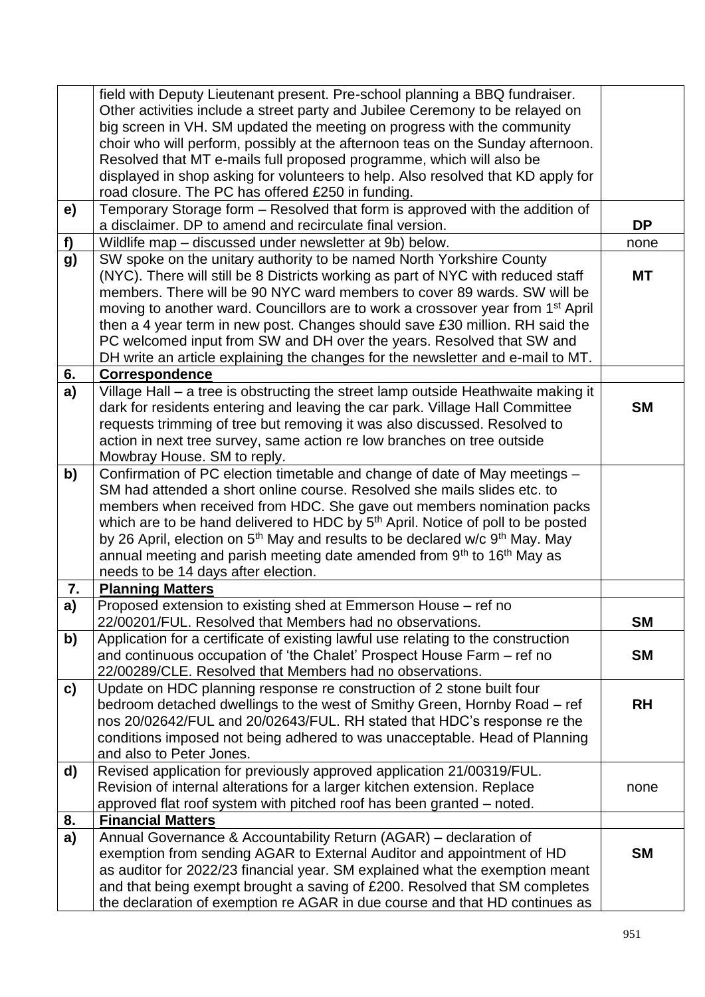| Other activities include a street party and Jubilee Ceremony to be relayed on<br>big screen in VH. SM updated the meeting on progress with the community<br>choir who will perform, possibly at the afternoon teas on the Sunday afternoon.<br>Resolved that MT e-mails full proposed programme, which will also be<br>displayed in shop asking for volunteers to help. Also resolved that KD apply for<br>road closure. The PC has offered £250 in funding.<br>Temporary Storage form - Resolved that form is approved with the addition of<br>e)<br><b>DP</b><br>a disclaimer. DP to amend and recirculate final version.<br>Wildlife map - discussed under newsletter at 9b) below.<br>f)<br>none<br>SW spoke on the unitary authority to be named North Yorkshire County<br>g)<br>(NYC). There will still be 8 Districts working as part of NYC with reduced staff<br>МT<br>members. There will be 90 NYC ward members to cover 89 wards. SW will be<br>moving to another ward. Councillors are to work a crossover year from 1 <sup>st</sup> April |  |
|---------------------------------------------------------------------------------------------------------------------------------------------------------------------------------------------------------------------------------------------------------------------------------------------------------------------------------------------------------------------------------------------------------------------------------------------------------------------------------------------------------------------------------------------------------------------------------------------------------------------------------------------------------------------------------------------------------------------------------------------------------------------------------------------------------------------------------------------------------------------------------------------------------------------------------------------------------------------------------------------------------------------------------------------------------|--|
|                                                                                                                                                                                                                                                                                                                                                                                                                                                                                                                                                                                                                                                                                                                                                                                                                                                                                                                                                                                                                                                         |  |
|                                                                                                                                                                                                                                                                                                                                                                                                                                                                                                                                                                                                                                                                                                                                                                                                                                                                                                                                                                                                                                                         |  |
|                                                                                                                                                                                                                                                                                                                                                                                                                                                                                                                                                                                                                                                                                                                                                                                                                                                                                                                                                                                                                                                         |  |
|                                                                                                                                                                                                                                                                                                                                                                                                                                                                                                                                                                                                                                                                                                                                                                                                                                                                                                                                                                                                                                                         |  |
|                                                                                                                                                                                                                                                                                                                                                                                                                                                                                                                                                                                                                                                                                                                                                                                                                                                                                                                                                                                                                                                         |  |
|                                                                                                                                                                                                                                                                                                                                                                                                                                                                                                                                                                                                                                                                                                                                                                                                                                                                                                                                                                                                                                                         |  |
|                                                                                                                                                                                                                                                                                                                                                                                                                                                                                                                                                                                                                                                                                                                                                                                                                                                                                                                                                                                                                                                         |  |
|                                                                                                                                                                                                                                                                                                                                                                                                                                                                                                                                                                                                                                                                                                                                                                                                                                                                                                                                                                                                                                                         |  |
|                                                                                                                                                                                                                                                                                                                                                                                                                                                                                                                                                                                                                                                                                                                                                                                                                                                                                                                                                                                                                                                         |  |
|                                                                                                                                                                                                                                                                                                                                                                                                                                                                                                                                                                                                                                                                                                                                                                                                                                                                                                                                                                                                                                                         |  |
|                                                                                                                                                                                                                                                                                                                                                                                                                                                                                                                                                                                                                                                                                                                                                                                                                                                                                                                                                                                                                                                         |  |
|                                                                                                                                                                                                                                                                                                                                                                                                                                                                                                                                                                                                                                                                                                                                                                                                                                                                                                                                                                                                                                                         |  |
| then a 4 year term in new post. Changes should save £30 million. RH said the                                                                                                                                                                                                                                                                                                                                                                                                                                                                                                                                                                                                                                                                                                                                                                                                                                                                                                                                                                            |  |
| PC welcomed input from SW and DH over the years. Resolved that SW and                                                                                                                                                                                                                                                                                                                                                                                                                                                                                                                                                                                                                                                                                                                                                                                                                                                                                                                                                                                   |  |
| DH write an article explaining the changes for the newsletter and e-mail to MT.                                                                                                                                                                                                                                                                                                                                                                                                                                                                                                                                                                                                                                                                                                                                                                                                                                                                                                                                                                         |  |
| 6.<br><b>Correspondence</b>                                                                                                                                                                                                                                                                                                                                                                                                                                                                                                                                                                                                                                                                                                                                                                                                                                                                                                                                                                                                                             |  |
| Village Hall - a tree is obstructing the street lamp outside Heathwaite making it<br>a)                                                                                                                                                                                                                                                                                                                                                                                                                                                                                                                                                                                                                                                                                                                                                                                                                                                                                                                                                                 |  |
| dark for residents entering and leaving the car park. Village Hall Committee<br><b>SM</b>                                                                                                                                                                                                                                                                                                                                                                                                                                                                                                                                                                                                                                                                                                                                                                                                                                                                                                                                                               |  |
| requests trimming of tree but removing it was also discussed. Resolved to                                                                                                                                                                                                                                                                                                                                                                                                                                                                                                                                                                                                                                                                                                                                                                                                                                                                                                                                                                               |  |
| action in next tree survey, same action re low branches on tree outside                                                                                                                                                                                                                                                                                                                                                                                                                                                                                                                                                                                                                                                                                                                                                                                                                                                                                                                                                                                 |  |
| Mowbray House. SM to reply.                                                                                                                                                                                                                                                                                                                                                                                                                                                                                                                                                                                                                                                                                                                                                                                                                                                                                                                                                                                                                             |  |
| Confirmation of PC election timetable and change of date of May meetings -<br>$\mathbf{b}$                                                                                                                                                                                                                                                                                                                                                                                                                                                                                                                                                                                                                                                                                                                                                                                                                                                                                                                                                              |  |
| SM had attended a short online course. Resolved she mails slides etc. to                                                                                                                                                                                                                                                                                                                                                                                                                                                                                                                                                                                                                                                                                                                                                                                                                                                                                                                                                                                |  |
| members when received from HDC. She gave out members nomination packs                                                                                                                                                                                                                                                                                                                                                                                                                                                                                                                                                                                                                                                                                                                                                                                                                                                                                                                                                                                   |  |
| which are to be hand delivered to HDC by 5 <sup>th</sup> April. Notice of poll to be posted<br>by 26 April, election on 5 <sup>th</sup> May and results to be declared w/c 9 <sup>th</sup> May. May                                                                                                                                                                                                                                                                                                                                                                                                                                                                                                                                                                                                                                                                                                                                                                                                                                                     |  |
| annual meeting and parish meeting date amended from 9th to 16th May as                                                                                                                                                                                                                                                                                                                                                                                                                                                                                                                                                                                                                                                                                                                                                                                                                                                                                                                                                                                  |  |
| needs to be 14 days after election.                                                                                                                                                                                                                                                                                                                                                                                                                                                                                                                                                                                                                                                                                                                                                                                                                                                                                                                                                                                                                     |  |
| <b>Planning Matters</b><br>7.                                                                                                                                                                                                                                                                                                                                                                                                                                                                                                                                                                                                                                                                                                                                                                                                                                                                                                                                                                                                                           |  |
| a)<br>Proposed extension to existing shed at Emmerson House - ref no                                                                                                                                                                                                                                                                                                                                                                                                                                                                                                                                                                                                                                                                                                                                                                                                                                                                                                                                                                                    |  |
| 22/00201/FUL. Resolved that Members had no observations.<br><b>SM</b>                                                                                                                                                                                                                                                                                                                                                                                                                                                                                                                                                                                                                                                                                                                                                                                                                                                                                                                                                                                   |  |
| b)<br>Application for a certificate of existing lawful use relating to the construction                                                                                                                                                                                                                                                                                                                                                                                                                                                                                                                                                                                                                                                                                                                                                                                                                                                                                                                                                                 |  |
| and continuous occupation of 'the Chalet' Prospect House Farm - ref no<br><b>SM</b>                                                                                                                                                                                                                                                                                                                                                                                                                                                                                                                                                                                                                                                                                                                                                                                                                                                                                                                                                                     |  |
| 22/00289/CLE. Resolved that Members had no observations.                                                                                                                                                                                                                                                                                                                                                                                                                                                                                                                                                                                                                                                                                                                                                                                                                                                                                                                                                                                                |  |
| Update on HDC planning response re construction of 2 stone built four<br>$\mathbf{c}$                                                                                                                                                                                                                                                                                                                                                                                                                                                                                                                                                                                                                                                                                                                                                                                                                                                                                                                                                                   |  |
| bedroom detached dwellings to the west of Smithy Green, Hornby Road – ref<br><b>RH</b>                                                                                                                                                                                                                                                                                                                                                                                                                                                                                                                                                                                                                                                                                                                                                                                                                                                                                                                                                                  |  |
| nos 20/02642/FUL and 20/02643/FUL. RH stated that HDC's response re the                                                                                                                                                                                                                                                                                                                                                                                                                                                                                                                                                                                                                                                                                                                                                                                                                                                                                                                                                                                 |  |
| conditions imposed not being adhered to was unacceptable. Head of Planning                                                                                                                                                                                                                                                                                                                                                                                                                                                                                                                                                                                                                                                                                                                                                                                                                                                                                                                                                                              |  |
| and also to Peter Jones.                                                                                                                                                                                                                                                                                                                                                                                                                                                                                                                                                                                                                                                                                                                                                                                                                                                                                                                                                                                                                                |  |
| d)<br>Revised application for previously approved application 21/00319/FUL.                                                                                                                                                                                                                                                                                                                                                                                                                                                                                                                                                                                                                                                                                                                                                                                                                                                                                                                                                                             |  |
| Revision of internal alterations for a larger kitchen extension. Replace<br>none                                                                                                                                                                                                                                                                                                                                                                                                                                                                                                                                                                                                                                                                                                                                                                                                                                                                                                                                                                        |  |
| approved flat roof system with pitched roof has been granted - noted.                                                                                                                                                                                                                                                                                                                                                                                                                                                                                                                                                                                                                                                                                                                                                                                                                                                                                                                                                                                   |  |
| 8.<br><b>Financial Matters</b>                                                                                                                                                                                                                                                                                                                                                                                                                                                                                                                                                                                                                                                                                                                                                                                                                                                                                                                                                                                                                          |  |
| a)<br>Annual Governance & Accountability Return (AGAR) – declaration of                                                                                                                                                                                                                                                                                                                                                                                                                                                                                                                                                                                                                                                                                                                                                                                                                                                                                                                                                                                 |  |
| exemption from sending AGAR to External Auditor and appointment of HD<br><b>SM</b><br>as auditor for 2022/23 financial year. SM explained what the exemption meant                                                                                                                                                                                                                                                                                                                                                                                                                                                                                                                                                                                                                                                                                                                                                                                                                                                                                      |  |
| and that being exempt brought a saving of £200. Resolved that SM completes                                                                                                                                                                                                                                                                                                                                                                                                                                                                                                                                                                                                                                                                                                                                                                                                                                                                                                                                                                              |  |
| the declaration of exemption re AGAR in due course and that HD continues as                                                                                                                                                                                                                                                                                                                                                                                                                                                                                                                                                                                                                                                                                                                                                                                                                                                                                                                                                                             |  |